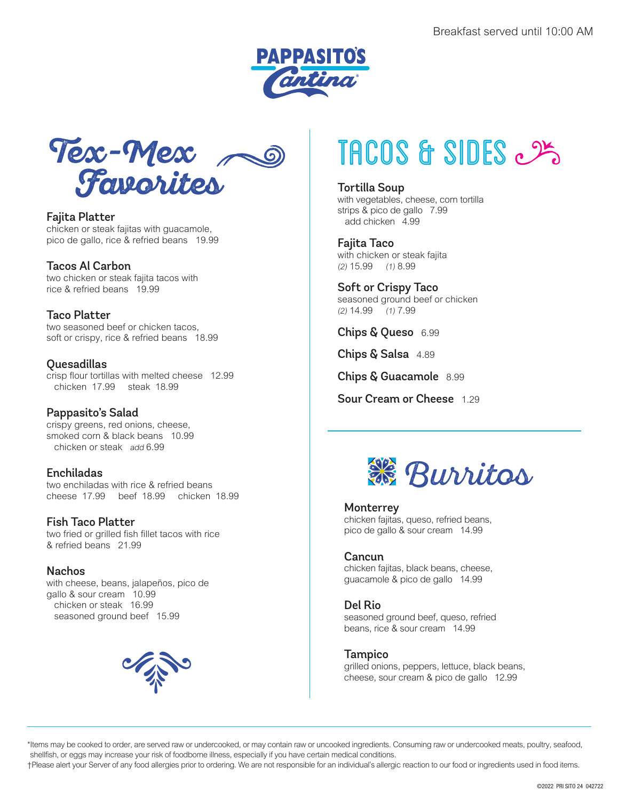



# Fajita Platter

chicken or steak fajitas with guacamole, pico de gallo, rice & refried beans 19.99

# Tacos Al Carbon

two chicken or steak fajita tacos with rice & refried beans 19.99

Taco Platter two seasoned beef or chicken tacos, soft or crispy, rice & refried beans 18.99

# Quesadillas

crisp flour tortillas with melted cheese 12.99 chicken 17.99 steak 18.99

# Pappasito's Salad

crispy greens, red onions, cheese, smoked corn & black beans 10.99 chicken or steak add 6.99

# Enchiladas

two enchiladas with rice & refried beans cheese 17.99 beef 18.99 chicken 18.99

# Fish Taco Platter

two fried or grilled fish fillet tacos with rice & refried beans 21.99

# Nachos

with cheese, beans, jalapeños, pico de gallo & sour cream 10.99 chicken or steak 16.99 seasoned ground beef 15.99



# TACOS & SIDES 25

Tortilla Soup with vegetables, cheese, corn tortilla strips & pico de gallo 7.99 add chicken 4.99

Fajita Taco with chicken or steak fajita (2) 15.99 (1) 8.99

Soft or Crispy Taco seasoned ground beef or chicken (2) 14.99 (1) 7.99

**Chips & Queso** 6.99

**Chips & Salsa** 4.89

Chips & Guacamole 8.99

Sour Cream or Cheese 1.29



**Monterrey** chicken fajitas, queso, refried beans, pico de gallo & sour cream 14.99

# Cancun

chicken fajitas, black beans, cheese, guacamole & pico de gallo 14.99

# Del Rio

seasoned ground beef, queso, refried beans, rice & sour cream 14.99

# Tampico

grilled onions, peppers, lettuce, black beans, cheese, sour cream & pico de gallo 12.99

\*Items may be cooked to order, are served raw or undercooked, or may contain raw or uncooked ingredients. Consuming raw or undercooked meats, poultry, seafood, shellfish, or eggs may increase your risk of foodborne illness, especially if you have certain medical conditions.

†Please alert your Server of any food allergies prior to ordering. We are not responsible for an individual's allergic reaction to our food or ingredients used in food items.